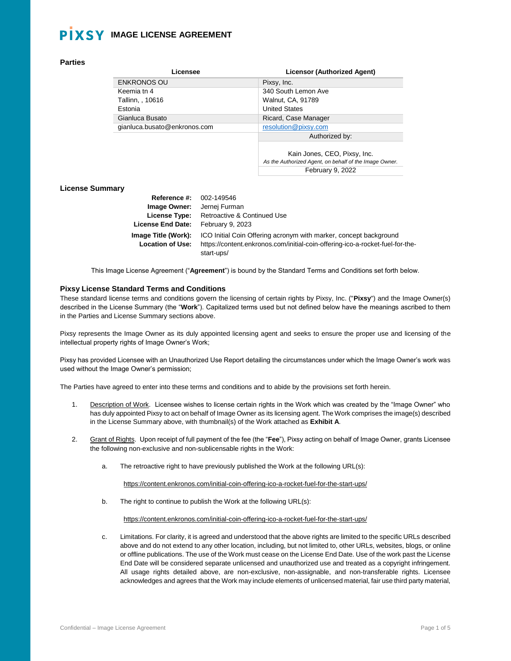### **Parties**

| Licensee                     | <b>Licensor (Authorized Agent)</b> |
|------------------------------|------------------------------------|
| <b>ENKRONOS OU</b>           | Pixsy, Inc.                        |
| Keemia tn 4                  | 340 South Lemon Ave                |
| Tallinn, , 10616             | Walnut, CA, 91789                  |
| Estonia                      | <b>United States</b>               |
| Gianluca Busato              | Ricard, Case Manager               |
| gianluca.busato@enkronos.com | resolution@pixsy.com               |
|                              | Authorized by:                     |
|                              |                                    |

Kain Jones, CEO, Pixsy, Inc. *As the Authorized Agent, on behalf of the Image Owner.* February 9, 2022

### **License Summary**

| <b>Reference #: 002-149546</b>                 |                                                                                                                                                    |
|------------------------------------------------|----------------------------------------------------------------------------------------------------------------------------------------------------|
| Image Owner:                                   | Jernej Furman                                                                                                                                      |
| License Type:                                  | Retroactive & Continued Use                                                                                                                        |
| <b>License End Date:</b>                       | February 9, 2023                                                                                                                                   |
| Image Title (Work):<br><b>Location of Use:</b> | ICO Initial Coin Offering acronym with marker, concept background<br>https://content.enkronos.com/initial-coin-offering-ico-a-rocket-fuel-for-the- |
|                                                | start-ups/                                                                                                                                         |

This Image License Agreement ("**Agreement**") is bound by the Standard Terms and Conditions set forth below.

### **Pixsy License Standard Terms and Conditions**

These standard license terms and conditions govern the licensing of certain rights by Pixsy, Inc. ("**Pixsy**") and the Image Owner(s) described in the License Summary (the "**Work**"). Capitalized terms used but not defined below have the meanings ascribed to them in the Parties and License Summary sections above.

Pixsy represents the Image Owner as its duly appointed licensing agent and seeks to ensure the proper use and licensing of the intellectual property rights of Image Owner's Work;

Pixsy has provided Licensee with an Unauthorized Use Report detailing the circumstances under which the Image Owner's work was used without the Image Owner's permission;

The Parties have agreed to enter into these terms and conditions and to abide by the provisions set forth herein.

- 1. Description of Work. Licensee wishes to license certain rights in the Work which was created by the "Image Owner" who has duly appointed Pixsy to act on behalf of Image Owner as its licensing agent. The Work comprises the image(s) described in the License Summary above, with thumbnail(s) of the Work attached as **Exhibit A**.
- 2. Grant of Rights. Upon receipt of full payment of the fee (the "**Fee**"), Pixsy acting on behalf of Image Owner, grants Licensee the following non-exclusive and non-sublicensable rights in the Work:
	- a. The retroactive right to have previously published the Work at the following URL(s):

https://content.enkronos.com/initial-coin-offering-ico-a-rocket-fuel-for-the-start-ups/

b. The right to continue to publish the Work at the following URL(s):

https://content.enkronos.com/initial-coin-offering-ico-a-rocket-fuel-for-the-start-ups/

c. Limitations. For clarity, it is agreed and understood that the above rights are limited to the specific URLs described above and do not extend to any other location, including, but not limited to, other URLs, websites, blogs, or online or offline publications. The use of the Work must cease on the License End Date. Use of the work past the License End Date will be considered separate unlicensed and unauthorized use and treated as a copyright infringement. All usage rights detailed above, are non-exclusive, non-assignable, and non-transferable rights. Licensee acknowledges and agrees that the Work may include elements of unlicensed material, fair use third party material,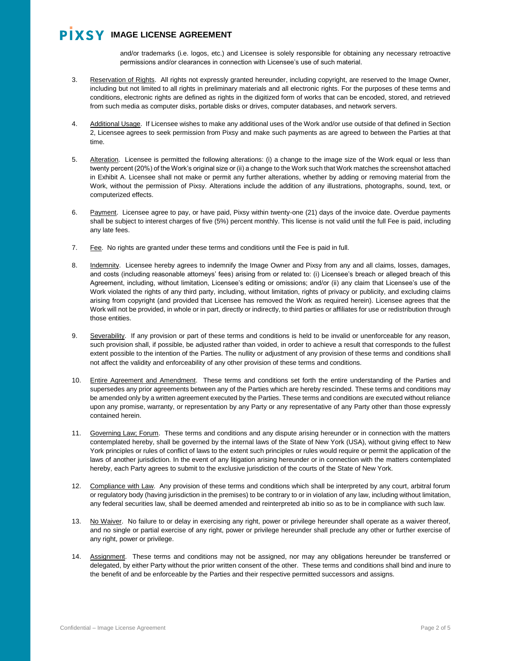and/or trademarks (i.e. logos, etc.) and Licensee is solely responsible for obtaining any necessary retroactive permissions and/or clearances in connection with Licensee's use of such material.

- 3. Reservation of Rights. All rights not expressly granted hereunder, including copyright, are reserved to the Image Owner, including but not limited to all rights in preliminary materials and all electronic rights. For the purposes of these terms and conditions, electronic rights are defined as rights in the digitized form of works that can be encoded, stored, and retrieved from such media as computer disks, portable disks or drives, computer databases, and network servers.
- 4. Additional Usage. If Licensee wishes to make any additional uses of the Work and/or use outside of that defined in Section 2, Licensee agrees to seek permission from Pixsy and make such payments as are agreed to between the Parties at that time.
- 5. Alteration. Licensee is permitted the following alterations: (i) a change to the image size of the Work equal or less than twenty percent (20%) of the Work's original size or (ii) a change to the Work such that Work matches the screenshot attached in Exhibit A. Licensee shall not make or permit any further alterations, whether by adding or removing material from the Work, without the permission of Pixsy. Alterations include the addition of any illustrations, photographs, sound, text, or computerized effects.
- 6. Payment. Licensee agree to pay, or have paid, Pixsy within twenty-one (21) days of the invoice date. Overdue payments shall be subject to interest charges of five (5%) percent monthly. This license is not valid until the full Fee is paid, including any late fees.
- 7. Fee. No rights are granted under these terms and conditions until the Fee is paid in full.
- 8. Indemnity. Licensee hereby agrees to indemnify the Image Owner and Pixsy from any and all claims, losses, damages, and costs (including reasonable attorneys' fees) arising from or related to: (i) Licensee's breach or alleged breach of this Agreement, including, without limitation, Licensee's editing or omissions; and/or (ii) any claim that Licensee's use of the Work violated the rights of any third party, including, without limitation, rights of privacy or publicity, and excluding claims arising from copyright (and provided that Licensee has removed the Work as required herein). Licensee agrees that the Work will not be provided, in whole or in part, directly or indirectly, to third parties or affiliates for use or redistribution through those entities.
- 9. Severability. If any provision or part of these terms and conditions is held to be invalid or unenforceable for any reason, such provision shall, if possible, be adjusted rather than voided, in order to achieve a result that corresponds to the fullest extent possible to the intention of the Parties. The nullity or adjustment of any provision of these terms and conditions shall not affect the validity and enforceability of any other provision of these terms and conditions.
- 10. Entire Agreement and Amendment. These terms and conditions set forth the entire understanding of the Parties and supersedes any prior agreements between any of the Parties which are hereby rescinded. These terms and conditions may be amended only by a written agreement executed by the Parties. These terms and conditions are executed without reliance upon any promise, warranty, or representation by any Party or any representative of any Party other than those expressly contained herein.
- 11. Governing Law; Forum. These terms and conditions and any dispute arising hereunder or in connection with the matters contemplated hereby, shall be governed by the internal laws of the State of New York (USA), without giving effect to New York principles or rules of conflict of laws to the extent such principles or rules would require or permit the application of the laws of another jurisdiction. In the event of any litigation arising hereunder or in connection with the matters contemplated hereby, each Party agrees to submit to the exclusive jurisdiction of the courts of the State of New York.
- 12. Compliance with Law. Any provision of these terms and conditions which shall be interpreted by any court, arbitral forum or regulatory body (having jurisdiction in the premises) to be contrary to or in violation of any law, including without limitation, any federal securities law, shall be deemed amended and reinterpreted ab initio so as to be in compliance with such law.
- 13. No Waiver. No failure to or delay in exercising any right, power or privilege hereunder shall operate as a waiver thereof, and no single or partial exercise of any right, power or privilege hereunder shall preclude any other or further exercise of any right, power or privilege.
- 14. Assignment. These terms and conditions may not be assigned, nor may any obligations hereunder be transferred or delegated, by either Party without the prior written consent of the other. These terms and conditions shall bind and inure to the benefit of and be enforceable by the Parties and their respective permitted successors and assigns.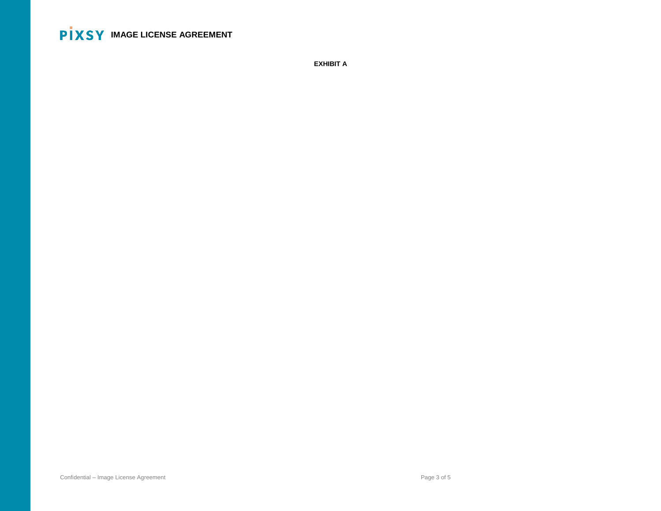**EXHIBIT A**